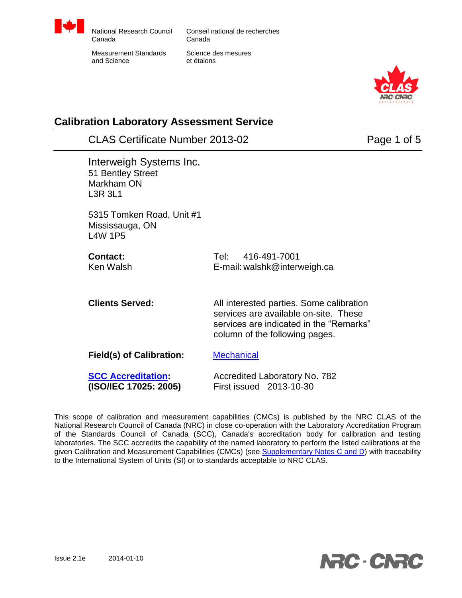Canada

National Research Council Conseil national de recherches<br>Canada Canada

Measurement Standards Science des mesures and Science et étalons



### **Calibration Laboratory Assessment Service**

CLAS Certificate Number 2013-02 Page 1 of 5

| Interweigh Systems Inc.<br>51 Bentley Street<br>Markham ON<br><b>L3R 3L1</b> |                                                                                                                                                                |  |  |  |
|------------------------------------------------------------------------------|----------------------------------------------------------------------------------------------------------------------------------------------------------------|--|--|--|
| 5315 Tomken Road, Unit #1<br>Mississauga, ON<br><b>L4W 1P5</b>               |                                                                                                                                                                |  |  |  |
| Contact:<br>Ken Walsh                                                        | Tel: 416-491-7001<br>E-mail: walshk@interweigh.ca                                                                                                              |  |  |  |
| <b>Clients Served:</b>                                                       | All interested parties. Some calibration<br>services are available on-site. These<br>services are indicated in the "Remarks"<br>column of the following pages. |  |  |  |
| Field(s) of Calibration:                                                     | <b>Mechanical</b>                                                                                                                                              |  |  |  |
| <b>SCC Accreditation:</b><br>(ISO/IEC 17025: 2005)                           | Accredited Laboratory No. 782<br>First issued 2013-10-30                                                                                                       |  |  |  |

This scope of calibration and measurement capabilities (CMCs) is published by the NRC CLAS of the National Research Council of Canada (NRC) in close co-operation with the Laboratory Accreditation Program of the Standards Council of Canada (SCC), Canada's accreditation body for calibration and testing laboratories. The SCC accredits the capability of the named laboratory to perform the listed calibrations at the given Calibration and Measurement Capabilities (CMCs) (see Supplementary Notes C and D) with traceability to the International System of Units (SI) or to standards acceptable to NRC CLAS.

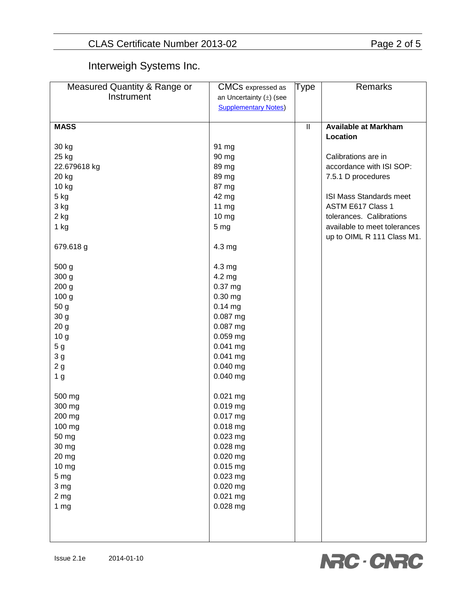### CLAS Certificate Number 2013-02 Page 2 of 5

# Interweigh Systems Inc.

<span id="page-1-0"></span>

| Measured Quantity & Range or | <b>CMCS</b> expressed as    | Type          | <b>Remarks</b>               |
|------------------------------|-----------------------------|---------------|------------------------------|
| Instrument                   | an Uncertainty $(\pm)$ (see |               |                              |
|                              | <b>Supplementary Notes)</b> |               |                              |
|                              |                             |               |                              |
| <b>MASS</b>                  |                             | $\mathbf{  }$ | <b>Available at Markham</b>  |
|                              |                             |               | Location                     |
| 30 kg                        | 91 mg                       |               |                              |
| 25 kg                        | 90 mg                       |               | Calibrations are in          |
| 22.679618 kg                 | 89 mg                       |               | accordance with ISI SOP:     |
| 20 kg                        | 89 mg                       |               | 7.5.1 D procedures           |
| 10 kg                        | 87 mg                       |               |                              |
| 5 kg                         | 42 mg                       |               | ISI Mass Standards meet      |
| 3 kg                         | 11 mg                       |               | ASTM E617 Class 1            |
| 2 kg                         | 10 <sub>mg</sub>            |               | tolerances. Calibrations     |
| 1 kg                         | 5 <sub>mg</sub>             |               | available to meet tolerances |
|                              |                             |               | up to OIML R 111 Class M1.   |
| 679.618 g                    | 4.3 mg                      |               |                              |
|                              |                             |               |                              |
| 500 g                        | 4.3 mg                      |               |                              |
| 300 g                        | 4.2 mg                      |               |                              |
| 200 <sub>g</sub>             | 0.37 mg                     |               |                              |
| 100 g                        | $0.30$ mg                   |               |                              |
| 50 g                         | $0.14$ mg                   |               |                              |
| 30 <sub>g</sub>              | 0.087 mg                    |               |                              |
| 20 <sub>g</sub>              | 0.087 mg                    |               |                              |
| 10 <sub>g</sub>              | $0.059$ mg                  |               |                              |
| 5 <sub>g</sub>               | $0.041$ mg                  |               |                              |
| 3 <sub>g</sub>               | 0.041 mg                    |               |                              |
| 2g                           | $0.040$ mg                  |               |                              |
| 1 <sub>g</sub>               | $0.040$ mg                  |               |                              |
|                              |                             |               |                              |
| 500 mg                       | $0.021$ mg                  |               |                              |
| 300 mg                       | $0.019$ mg                  |               |                              |
| 200 mg                       | $0.017$ mg                  |               |                              |
| 100 mg                       | $0.018$ mg                  |               |                              |
| 50 mg                        | 0.023 mg                    |               |                              |
| 30 mg                        | 0.028 mg                    |               |                              |
| 20 mg                        | 0.020 mg                    |               |                              |
| 10 mg                        | 0.015 mg                    |               |                              |
| 5 <sub>mg</sub>              | 0.023 mg                    |               |                              |
| 3 mg                         | 0.020 mg                    |               |                              |
| 2 <sub>mg</sub>              | 0.021 mg                    |               |                              |
| 1 <sub>mg</sub>              | 0.028 mg                    |               |                              |
|                              |                             |               |                              |
|                              |                             |               |                              |
|                              |                             |               |                              |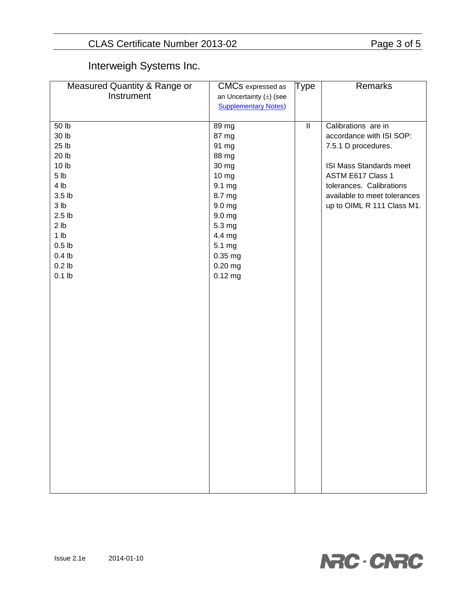### CLAS Certificate Number 2013-02 Page 3 of 5

# Interweigh Systems Inc.

| Measured Quantity & Range or | CMCS expressed as           | Type                       | Remarks                      |
|------------------------------|-----------------------------|----------------------------|------------------------------|
| Instrument                   | an Uncertainty $(\pm)$ (see |                            |                              |
|                              | <b>Supplementary Notes)</b> |                            |                              |
|                              |                             |                            |                              |
| 50 lb                        | 89 mg                       | $\ensuremath{\mathsf{II}}$ | Calibrations are in          |
| 30 lb                        | 87 mg                       |                            | accordance with ISI SOP:     |
| 25 lb                        | 91 mg                       |                            | 7.5.1 D procedures.          |
| 20 lb                        | 88 mg                       |                            |                              |
| 10 <sub>lb</sub>             | 30 mg                       |                            | ISI Mass Standards meet      |
| 5 <sub>lb</sub>              | 10 mg                       |                            | ASTM E617 Class 1            |
| 4 lb                         | 9.1 mg                      |                            | tolerances. Calibrations     |
| 3.5 <sub>lb</sub>            | 8.7 mg                      |                            | available to meet tolerances |
| 3 <sub>lb</sub>              | 9.0 mg                      |                            | up to OIML R 111 Class M1.   |
| 2.5 <sub>lb</sub>            | 9.0 mg                      |                            |                              |
| 2 <sub>lb</sub>              | 5.3 mg                      |                            |                              |
| 1 <sub>lb</sub>              | 4.4 mg                      |                            |                              |
| 0.5 <sub>lb</sub>            | 5.1 mg                      |                            |                              |
| $0.4$ lb                     | 0.35 mg                     |                            |                              |
| $0.2$ lb                     | $0.20$ mg                   |                            |                              |
| $0.1$ lb                     | $0.12$ mg                   |                            |                              |
|                              |                             |                            |                              |
|                              |                             |                            |                              |
|                              |                             |                            |                              |
|                              |                             |                            |                              |
|                              |                             |                            |                              |
|                              |                             |                            |                              |
|                              |                             |                            |                              |
|                              |                             |                            |                              |
|                              |                             |                            |                              |
|                              |                             |                            |                              |
|                              |                             |                            |                              |
|                              |                             |                            |                              |
|                              |                             |                            |                              |
|                              |                             |                            |                              |
|                              |                             |                            |                              |
|                              |                             |                            |                              |
|                              |                             |                            |                              |
|                              |                             |                            |                              |
|                              |                             |                            |                              |
|                              |                             |                            |                              |
|                              |                             |                            |                              |
|                              |                             |                            |                              |

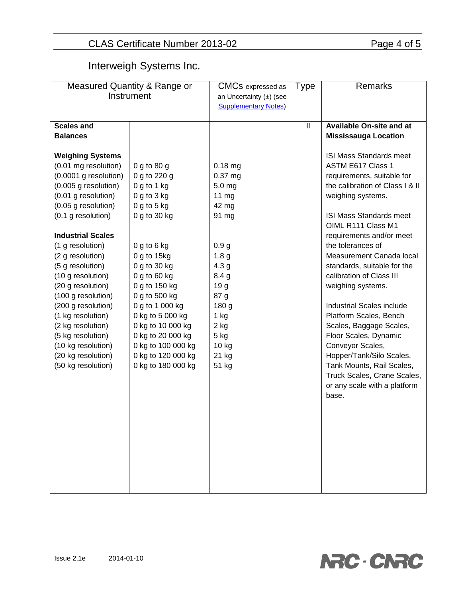### CLAS Certificate Number 2013-02 Page 4 of 5

# Interweigh Systems Inc.

|                          | Measured Quantity & Range or | <b>CMCs</b> expressed as    | Type         | <b>Remarks</b>                  |
|--------------------------|------------------------------|-----------------------------|--------------|---------------------------------|
|                          | Instrument                   | an Uncertainty $(\pm)$ (see |              |                                 |
|                          |                              | <b>Supplementary Notes)</b> |              |                                 |
|                          |                              |                             |              |                                 |
| <b>Scales and</b>        |                              |                             | $\mathbf{I}$ | <b>Available On-site and at</b> |
| <b>Balances</b>          |                              |                             |              | <b>Mississauga Location</b>     |
|                          |                              |                             |              |                                 |
| <b>Weighing Systems</b>  |                              |                             |              | <b>ISI Mass Standards meet</b>  |
| (0.01 mg resolution)     | 0 g to 80 g                  | $0.18$ mg                   |              | ASTM E617 Class 1               |
| (0.0001 g resolution)    | 0 g to 220 g                 | $0.37$ mg                   |              | requirements, suitable for      |
| (0.005 g resolution)     | $0$ g to 1 kg                | 5.0 <sub>mg</sub>           |              | the calibration of Class I & II |
| (0.01 g resolution)      | 0 g to 3 kg                  | 11 mg                       |              | weighing systems.               |
| (0.05 g resolution)      | 0 g to 5 kg                  | 42 mg                       |              |                                 |
| (0.1 g resolution)       | 0 g to 30 kg                 | 91 mg                       |              | <b>ISI Mass Standards meet</b>  |
|                          |                              |                             |              | OIML R111 Class M1              |
| <b>Industrial Scales</b> |                              |                             |              | requirements and/or meet        |
| (1 g resolution)         | 0 g to 6 kg                  | 0.9 <sub>g</sub>            |              | the tolerances of               |
| (2 g resolution)         | 0 g to 15kg                  | 1.8 <sub>g</sub>            |              | Measurement Canada local        |
| (5 g resolution)         | $0$ g to 30 kg               | 4.3 <sub>g</sub>            |              | standards, suitable for the     |
| (10 g resolution)        | $0$ g to 60 kg               | 8.4 <sub>g</sub>            |              | calibration of Class III        |
| (20 g resolution)        | 0 g to 150 kg                | 19 <sub>g</sub>             |              | weighing systems.               |
| (100 g resolution)       | 0 g to 500 kg                | 87 g                        |              |                                 |
| (200 g resolution)       | 0 g to 1 000 kg              | 180 g                       |              | Industrial Scales include       |
| (1 kg resolution)        | 0 kg to 5 000 kg             | $1$ kg                      |              | Platform Scales, Bench          |
| (2 kg resolution)        | 0 kg to 10 000 kg            | 2 kg                        |              | Scales, Baggage Scales,         |
| (5 kg resolution)        | 0 kg to 20 000 kg            | $5$ kg                      |              | Floor Scales, Dynamic           |
| (10 kg resolution)       | 0 kg to 100 000 kg           | 10 kg                       |              | Conveyor Scales,                |
| (20 kg resolution)       | 0 kg to 120 000 kg           | 21 kg                       |              | Hopper/Tank/Silo Scales,        |
| (50 kg resolution)       | 0 kg to 180 000 kg           | 51 kg                       |              | Tank Mounts, Rail Scales,       |
|                          |                              |                             |              | Truck Scales, Crane Scales,     |
|                          |                              |                             |              | or any scale with a platform    |
|                          |                              |                             |              | base.                           |
|                          |                              |                             |              |                                 |
|                          |                              |                             |              |                                 |
|                          |                              |                             |              |                                 |
|                          |                              |                             |              |                                 |
|                          |                              |                             |              |                                 |
|                          |                              |                             |              |                                 |
|                          |                              |                             |              |                                 |
|                          |                              |                             |              |                                 |
|                          |                              |                             |              |                                 |